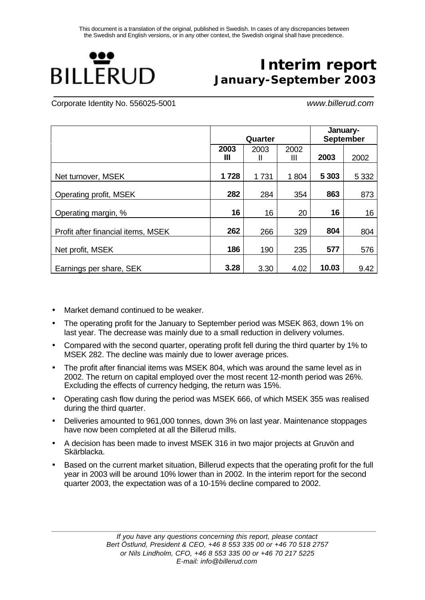

# **Interim report January-September 2003**

Corporate Identity No. 556025-5001 *www.billerud.com*

|                                    |           | Quarter |           | January-<br><b>September</b> |         |  |
|------------------------------------|-----------|---------|-----------|------------------------------|---------|--|
|                                    | 2003<br>Ш | 2003    | 2002<br>Ш | 2003                         | 2002    |  |
| Net turnover, MSEK                 | 1728      | 1731    | 1804      | 5 3 0 3                      | 5 3 3 2 |  |
| Operating profit, MSEK             | 282       | 284     | 354       | 863                          | 873     |  |
| Operating margin, %                | 16        | 16      | 20        | 16                           | 16      |  |
| Profit after financial items, MSEK | 262       | 266     | 329       | 804                          | 804     |  |
| Net profit, MSEK                   | 186       | 190     | 235       | 577                          | 576     |  |
| Earnings per share, SEK            | 3.28      | 3.30    | 4.02      | 10.03                        | 9.42    |  |

- Market demand continued to be weaker.
- The operating profit for the January to September period was MSEK 863, down 1% on last year. The decrease was mainly due to a small reduction in delivery volumes.
- Compared with the second quarter, operating profit fell during the third quarter by 1% to MSEK 282. The decline was mainly due to lower average prices.
- The profit after financial items was MSEK 804, which was around the same level as in 2002. The return on capital employed over the most recent 12-month period was 26%. Excluding the effects of currency hedging, the return was 15%.
- Operating cash flow during the period was MSEK 666, of which MSEK 355 was realised during the third quarter.
- Deliveries amounted to 961,000 tonnes, down 3% on last year. Maintenance stoppages have now been completed at all the Billerud mills.
- A decision has been made to invest MSEK 316 in two major projects at Gruvön and Skärblacka.
- Based on the current market situation, Billerud expects that the operating profit for the full year in 2003 will be around 10% lower than in 2002. In the interim report for the second quarter 2003, the expectation was of a 10-15% decline compared to 2002.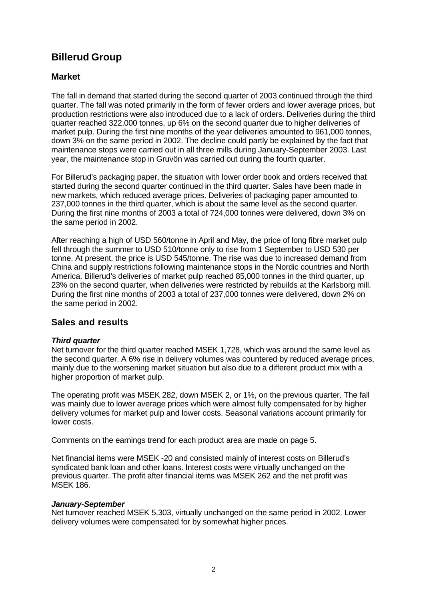# **Billerud Group**

# **Market**

The fall in demand that started during the second quarter of 2003 continued through the third quarter. The fall was noted primarily in the form of fewer orders and lower average prices, but production restrictions were also introduced due to a lack of orders. Deliveries during the third quarter reached 322,000 tonnes, up 6% on the second quarter due to higher deliveries of market pulp. During the first nine months of the year deliveries amounted to 961,000 tonnes, down 3% on the same period in 2002. The decline could partly be explained by the fact that maintenance stops were carried out in all three mills during January-September 2003. Last year, the maintenance stop in Gruvön was carried out during the fourth quarter.

For Billerud's packaging paper, the situation with lower order book and orders received that started during the second quarter continued in the third quarter. Sales have been made in new markets, which reduced average prices. Deliveries of packaging paper amounted to 237,000 tonnes in the third quarter, which is about the same level as the second quarter. During the first nine months of 2003 a total of 724,000 tonnes were delivered, down 3% on the same period in 2002.

After reaching a high of USD 560/tonne in April and May, the price of long fibre market pulp fell through the summer to USD 510/tonne only to rise from 1 September to USD 530 per tonne. At present, the price is USD 545/tonne. The rise was due to increased demand from China and supply restrictions following maintenance stops in the Nordic countries and North America. Billerud's deliveries of market pulp reached 85,000 tonnes in the third quarter, up 23% on the second quarter, when deliveries were restricted by rebuilds at the Karlsborg mill. During the first nine months of 2003 a total of 237,000 tonnes were delivered, down 2% on the same period in 2002.

## **Sales and results**

### *Third quarter*

Net turnover for the third quarter reached MSEK 1,728, which was around the same level as the second quarter. A 6% rise in delivery volumes was countered by reduced average prices, mainly due to the worsening market situation but also due to a different product mix with a higher proportion of market pulp.

The operating profit was MSEK 282, down MSEK 2, or 1%, on the previous quarter. The fall was mainly due to lower average prices which were almost fully compensated for by higher delivery volumes for market pulp and lower costs. Seasonal variations account primarily for lower costs.

Comments on the earnings trend for each product area are made on page 5.

Net financial items were MSEK -20 and consisted mainly of interest costs on Billerud's syndicated bank loan and other loans. Interest costs were virtually unchanged on the previous quarter. The profit after financial items was MSEK 262 and the net profit was MSEK 186.

#### *January-September*

Net turnover reached MSEK 5,303, virtually unchanged on the same period in 2002. Lower delivery volumes were compensated for by somewhat higher prices.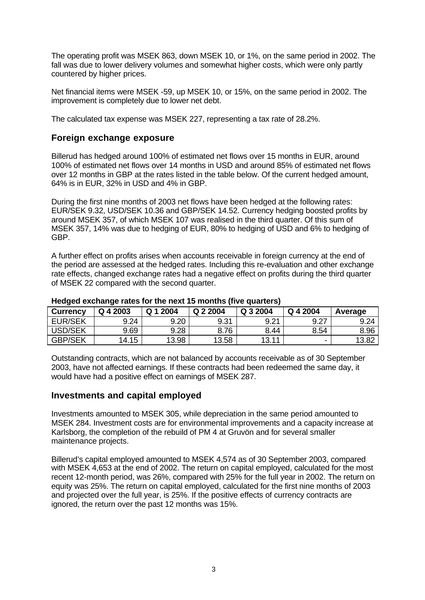The operating profit was MSEK 863, down MSEK 10, or 1%, on the same period in 2002. The fall was due to lower delivery volumes and somewhat higher costs, which were only partly countered by higher prices.

Net financial items were MSEK -59, up MSEK 10, or 15%, on the same period in 2002. The improvement is completely due to lower net debt.

The calculated tax expense was MSEK 227, representing a tax rate of 28.2%.

### **Foreign exchange exposure**

Billerud has hedged around 100% of estimated net flows over 15 months in EUR, around 100% of estimated net flows over 14 months in USD and around 85% of estimated net flows over 12 months in GBP at the rates listed in the table below. Of the current hedged amount, 64% is in EUR, 32% in USD and 4% in GBP.

During the first nine months of 2003 net flows have been hedged at the following rates: EUR/SEK 9.32, USD/SEK 10.36 and GBP/SEK 14.52. Currency hedging boosted profits by around MSEK 357, of which MSEK 107 was realised in the third quarter. Of this sum of MSEK 357, 14% was due to hedging of EUR, 80% to hedging of USD and 6% to hedging of GBP.

A further effect on profits arises when accounts receivable in foreign currency at the end of the period are assessed at the hedged rates. Including this re-evaluation and other exchange rate effects, changed exchange rates had a negative effect on profits during the third quarter of MSEK 22 compared with the second quarter.

| <b>Currency</b> | Q 4 2003   | 2004<br>Q | Q 2 2004 | Q 3 2004 | Q 4 2004 | Average |
|-----------------|------------|-----------|----------|----------|----------|---------|
| <b>EUR/SEK</b>  | 9.24       | 9.20      | 9.31     | 9.21     | 9.27     | 9.24    |
| <b>USD/SEK</b>  | 9.69       | 9.28      | 3.76     | 8.44     | 8.54     | 8.96    |
| <b>GBP/SEK</b>  | .15<br>14. | 13.98     | 13.58    | 13.11    | ٠        | 13.82   |

#### **Hedged exchange rates for the next 15 months (five quarters)**

Outstanding contracts, which are not balanced by accounts receivable as of 30 September 2003, have not affected earnings. If these contracts had been redeemed the same day, it would have had a positive effect on earnings of MSEK 287.

### **Investments and capital employed**

Investments amounted to MSEK 305, while depreciation in the same period amounted to MSEK 284. Investment costs are for environmental improvements and a capacity increase at Karlsborg, the completion of the rebuild of PM 4 at Gruvön and for several smaller maintenance projects.

Billerud's capital employed amounted to MSEK 4,574 as of 30 September 2003, compared with MSEK 4,653 at the end of 2002. The return on capital employed, calculated for the most recent 12-month period, was 26%, compared with 25% for the full year in 2002. The return on equity was 25%. The return on capital employed, calculated for the first nine months of 2003 and projected over the full year, is 25%. If the positive effects of currency contracts are ignored, the return over the past 12 months was 15%.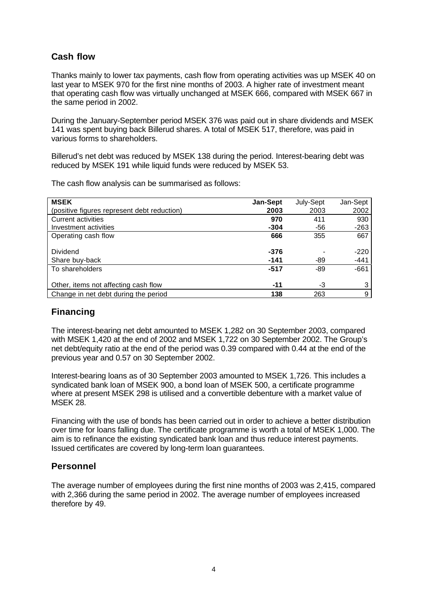# **Cash flow**

Thanks mainly to lower tax payments, cash flow from operating activities was up MSEK 40 on last year to MSEK 970 for the first nine months of 2003. A higher rate of investment meant that operating cash flow was virtually unchanged at MSEK 666, compared with MSEK 667 in the same period in 2002.

During the January-September period MSEK 376 was paid out in share dividends and MSEK 141 was spent buying back Billerud shares. A total of MSEK 517, therefore, was paid in various forms to shareholders.

Billerud's net debt was reduced by MSEK 138 during the period. Interest-bearing debt was reduced by MSEK 191 while liquid funds were reduced by MSEK 53.

The cash flow analysis can be summarised as follows:

| <b>MSEK</b>                                 | Jan-Sept | July-Sept | Jan-Sept |
|---------------------------------------------|----------|-----------|----------|
| (positive figures represent debt reduction) | 2003     | 2003      | 2002     |
| Current activities                          | 970      | 411       | 930      |
| Investment activities                       | $-304$   | -56       | $-263$   |
| Operating cash flow                         | 666      | 355       | 667      |
|                                             |          |           |          |
| <b>Dividend</b>                             | $-376$   |           | $-220$   |
| Share buy-back                              | $-141$   | -89       | $-441$   |
| To shareholders                             | -517     | -89       | $-661$   |
|                                             |          |           |          |
| Other, items not affecting cash flow        | -11      | -3        | 3        |
| Change in net debt during the period        | 138      | 263       | 9        |

# **Financing**

The interest-bearing net debt amounted to MSEK 1,282 on 30 September 2003, compared with MSEK 1,420 at the end of 2002 and MSEK 1,722 on 30 September 2002. The Group's net debt/equity ratio at the end of the period was 0.39 compared with 0.44 at the end of the previous year and 0.57 on 30 September 2002.

Interest-bearing loans as of 30 September 2003 amounted to MSEK 1,726. This includes a syndicated bank loan of MSEK 900, a bond loan of MSEK 500, a certificate programme where at present MSEK 298 is utilised and a convertible debenture with a market value of MSEK 28.

Financing with the use of bonds has been carried out in order to achieve a better distribution over time for loans falling due. The certificate programme is worth a total of MSEK 1,000. The aim is to refinance the existing syndicated bank loan and thus reduce interest payments. Issued certificates are covered by long-term loan guarantees.

### **Personnel**

The average number of employees during the first nine months of 2003 was 2,415, compared with 2,366 during the same period in 2002. The average number of employees increased therefore by 49.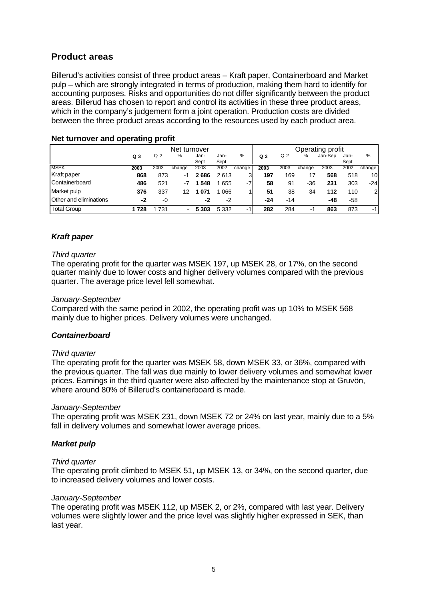# **Product areas**

Billerud's activities consist of three product areas – Kraft paper, Containerboard and Market pulp – which are strongly integrated in terms of production, making them hard to identify for accounting purposes. Risks and opportunities do not differ significantly between the product areas. Billerud has chosen to report and control its activities in these three product areas, which in the company's judgement form a joint operation. Production costs are divided between the three product areas according to the resources used by each product area.

| Net turnover           |                |                |                | Operating profit |         |        |                |      |        |         |       |                |
|------------------------|----------------|----------------|----------------|------------------|---------|--------|----------------|------|--------|---------|-------|----------------|
|                        | Q <sub>3</sub> | Q <sub>2</sub> | %              | Jan-             | Jan-    | %      | Q <sub>3</sub> | Q 2  | %      | Jan-Sep | Jan-  | %              |
|                        |                |                |                | Sept             | Sept    |        |                |      |        |         | Sept  |                |
| <b>MSEK</b>            | 2003           | 2003           | change         | 2003             | 2002    | change | 2003           | 2003 | change | 2003    | 2002  | change         |
| Kraft paper            | 868            | 873            | -1             | 2686             | 2613    | 3      | 197            | 169  | 17     | 568     | 518   | 10             |
| Containerboard         | 486            | 521            | -7             | 548              | 655     | -7     | 58             | 91   | $-36$  | 231     | 303   | $-24$          |
| Market pulp            | 376            | 337            | 12             | 071              | 066     |        | 51             | 38   | 34     | 112     | 110   | $\overline{2}$ |
| Other and eliminations | -2             | -0             |                | -2               | -2      |        | $-24$          | -14  |        | -48     | $-58$ |                |
| <b>Total Group</b>     | 1728           | 731            | $\blacksquare$ | 5 303            | 5 3 3 2 | $-1$   | 282            | 284  | -1     | 863     | 873   | $-1$           |

#### **Net turnover and operating profit**

#### *Kraft paper*

#### *Third quarter*

The operating profit for the quarter was MSEK 197, up MSEK 28, or 17%, on the second quarter mainly due to lower costs and higher delivery volumes compared with the previous quarter. The average price level fell somewhat.

#### *January-September*

Compared with the same period in 2002, the operating profit was up 10% to MSEK 568 mainly due to higher prices. Delivery volumes were unchanged.

#### *Containerboard*

#### *Third quarter*

The operating profit for the quarter was MSEK 58, down MSEK 33, or 36%, compared with the previous quarter. The fall was due mainly to lower delivery volumes and somewhat lower prices. Earnings in the third quarter were also affected by the maintenance stop at Gruvön, where around 80% of Billerud's containerboard is made.

#### *January-September*

The operating profit was MSEK 231, down MSEK 72 or 24% on last year, mainly due to a 5% fall in delivery volumes and somewhat lower average prices.

#### *Market pulp*

#### *Third quarter*

The operating profit climbed to MSEK 51, up MSEK 13, or 34%, on the second quarter, due to increased delivery volumes and lower costs.

#### *January-September*

The operating profit was MSEK 112, up MSEK 2, or 2%, compared with last year. Delivery volumes were slightly lower and the price level was slightly higher expressed in SEK, than last year.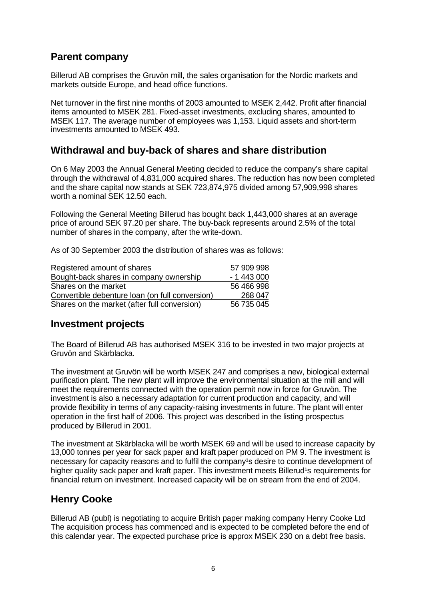# **Parent company**

Billerud AB comprises the Gruvön mill, the sales organisation for the Nordic markets and markets outside Europe, and head office functions.

Net turnover in the first nine months of 2003 amounted to MSEK 2,442. Profit after financial items amounted to MSEK 281. Fixed-asset investments, excluding shares, amounted to MSEK 117. The average number of employees was 1,153. Liquid assets and short-term investments amounted to MSEK 493.

# **Withdrawal and buy-back of shares and share distribution**

On 6 May 2003 the Annual General Meeting decided to reduce the company's share capital through the withdrawal of 4,831,000 acquired shares. The reduction has now been completed and the share capital now stands at SEK 723,874,975 divided among 57,909,998 shares worth a nominal SEK 12.50 each.

Following the General Meeting Billerud has bought back 1,443,000 shares at an average price of around SEK 97.20 per share. The buy-back represents around 2.5% of the total number of shares in the company, after the write-down.

As of 30 September 2003 the distribution of shares was as follows:

| Registered amount of shares                     | 57 909 998 |
|-------------------------------------------------|------------|
| Bought-back shares in company ownership         | $-1443000$ |
| Shares on the market                            | 56 466 998 |
| Convertible debenture loan (on full conversion) | 268 047    |
| Shares on the market (after full conversion)    | 56 735 045 |

## **Investment projects**

The Board of Billerud AB has authorised MSEK 316 to be invested in two major projects at Gruvön and Skärblacka.

The investment at Gruvön will be worth MSEK 247 and comprises a new, biological external purification plant. The new plant will improve the environmental situation at the mill and will meet the requirements connected with the operation permit now in force for Gruvön. The investment is also a necessary adaptation for current production and capacity, and will provide flexibility in terms of any capacity-raising investments in future. The plant will enter operation in the first half of 2006. This project was described in the listing prospectus produced by Billerud in 2001.

The investment at Skärblacka will be worth MSEK 69 and will be used to increase capacity by 13,000 tonnes per year for sack paper and kraft paper produced on PM 9. The investment is necessary for capacity reasons and to fulfil the company<sup>1</sup>s desire to continue development of higher quality sack paper and kraft paper. This investment meets Billerud<sup>1</sup>s requirements for financial return on investment. Increased capacity will be on stream from the end of 2004.

# **Henry Cooke**

Billerud AB (publ) is negotiating to acquire British paper making company Henry Cooke Ltd The acquisition process has commenced and is expected to be completed before the end of this calendar year. The expected purchase price is approx MSEK 230 on a debt free basis.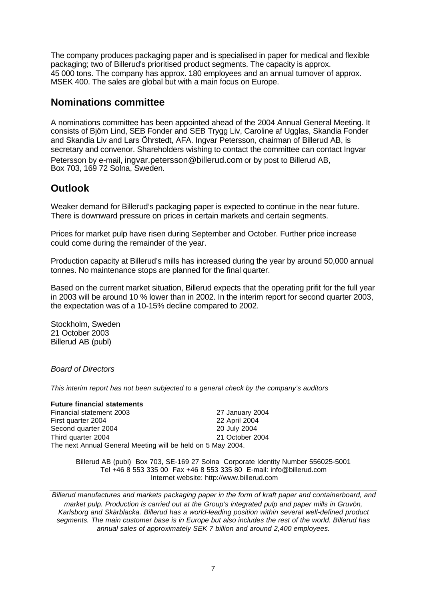The company produces packaging paper and is specialised in paper for medical and flexible packaging; two of Billerud's prioritised product segments. The capacity is approx. 45 000 tons. The company has approx. 180 employees and an annual turnover of approx. MSEK 400. The sales are global but with a main focus on Europe.

# **Nominations committee**

A nominations committee has been appointed ahead of the 2004 Annual General Meeting. It consists of Björn Lind, SEB Fonder and SEB Trygg Liv, Caroline af Ugglas, Skandia Fonder and Skandia Liv and Lars Öhrstedt, AFA. Ingvar Petersson, chairman of Billerud AB, is secretary and convenor. Shareholders wishing to contact the committee can contact Ingvar Petersson by e-mail, ingvar.petersson@billerud.com or by post to Billerud AB, Box 703, 169 72 Solna, Sweden.

# **Outlook**

Weaker demand for Billerud's packaging paper is expected to continue in the near future. There is downward pressure on prices in certain markets and certain segments.

Prices for market pulp have risen during September and October. Further price increase could come during the remainder of the year.

Production capacity at Billerud's mills has increased during the year by around 50,000 annual tonnes. No maintenance stops are planned for the final quarter.

Based on the current market situation, Billerud expects that the operating prifit for the full year in 2003 will be around 10 % lower than in 2002. In the interim report for second quarter 2003, the expectation was of a 10-15% decline compared to 2002.

Stockholm, Sweden 21 October 2003 Billerud AB (publ)

#### *Board of Directors*

*This interim report has not been subjected to a general check by the company's auditors*

#### **Future financial statements**

Financial statement 2003 27 January 2004<br>
First quarter 2004 22 April 2004 First quarter 2004 Second quarter 2004 20 July 2004 Third quarter 2004 21 October 2004 The next Annual General Meeting will be held on 5 May 2004.

> Billerud AB (publ) Box 703, SE-169 27 Solna Corporate Identity Number 556025-5001 Tel +46 8 553 335 00 Fax +46 8 553 335 80 E-mail: info@billerud.com Internet website: http://www.billerud.com

*Billerud manufactures and markets packaging paper in the form of kraft paper and containerboard, and market pulp. Production is carried out at the Group's integrated pulp and paper mills in Gruvön, Karlsborg and Skärblacka. Billerud has a world-leading position within several well-defined product segments. The main customer base is in Europe but also includes the rest of the world. Billerud has annual sales of approximately SEK 7 billion and around 2,400 employees.*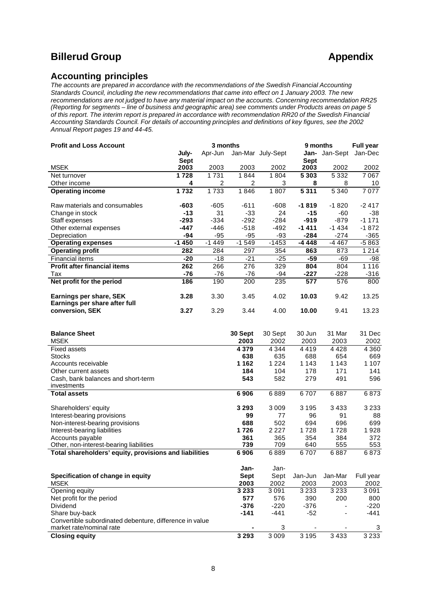# **Billerud Group Appendix**

### **Accounting principles**

*The accounts are prepared in accordance with the recommendations of the Swedish Financial Accounting Standards Council, including the new recommendations that came into effect on 1 January 2003. The new recommendations are not judged to have any material impact on the accounts. Concerning recommendation RR25 (Reporting for segments – line of business and geographic area) see comments under Products areas on page 5 of this report. The interim report is prepared in accordance with recommendation RR20 of the Swedish Financial Accounting Standards Council. For details of accounting principles and definitions of key figures, see the 2002 Annual Report pages 19 and 44-45.*

| <b>Profit and Loss Account</b>                           |             | 3 months |         |                   |             | <b>Full year</b><br>9 months |         |  |  |
|----------------------------------------------------------|-------------|----------|---------|-------------------|-------------|------------------------------|---------|--|--|
|                                                          | July-       | Apr-Jun  |         | Jan-Mar July-Sept |             | <b>Jan-</b> Jan-Sept         | Jan-Dec |  |  |
|                                                          | <b>Sept</b> |          |         |                   | <b>Sept</b> |                              |         |  |  |
| <b>MSEK</b>                                              | 2003        | 2003     | 2003    | 2002              | 2003        | 2002                         | 2002    |  |  |
| Net turnover                                             | 1728        | 1731     | 1844    | 1804              | 5 3 0 3     | 5 3 3 2                      | 7067    |  |  |
| Other income                                             | 4           | 2        | 2       | 3                 | 8           | 8                            | 10      |  |  |
| <b>Operating income</b>                                  | 1732        | 1733     | 1846    | 1807              | 5311        | 5 3 4 0                      | 7077    |  |  |
| Raw materials and consumables                            | -603        | $-605$   | $-611$  | -608              | $-1819$     | $-1820$                      | $-2417$ |  |  |
| Change in stock                                          | $-13$       | 31       | $-33$   | 24                | $-15$       | -60                          | $-38$   |  |  |
| Staff expenses                                           | $-293$      | $-334$   | $-292$  | $-284$            | $-919$      | $-879$                       | $-1171$ |  |  |
| Other external expenses                                  | -447        | -446     | $-518$  | -492              | $-1411$     | $-1434$                      | $-1872$ |  |  |
| Depreciation                                             | -94         | $-95$    | $-95$   | -93               | $-284$      | $-274$                       | $-365$  |  |  |
| <b>Operating expenses</b>                                | $-1450$     | $-1449$  | $-1549$ | $-1453$           | -4 448      | -4 467                       | $-5863$ |  |  |
| <b>Operating profit</b>                                  | 282         | 284      | 297     | 354               | 863         | 873                          | 1 2 1 4 |  |  |
| <b>Financial items</b>                                   | $-20$       | $-18$    | $-21$   | $-25$             | -59         | -69                          | -98     |  |  |
| <b>Profit after financial items</b>                      | 262         | 266      | 276     | 329               | 804         | 804                          | 1 1 1 6 |  |  |
| Tax                                                      | -76         | $-76$    | $-76$   | -94               | -227        | $-228$                       | $-316$  |  |  |
| Net profit for the period                                | 186         | 190      | 200     | 235               | 577         | 576                          | 800     |  |  |
| Earnings per share, SEK<br>Earnings per share after full | 3.28        | 3.30     | 3.45    | 4.02              | 10.03       | 9.42                         | 13.25   |  |  |
| conversion, SEK                                          | 3.27        | 3.29     | 3.44    | 4.00              | 10.00       | 9.41                         | 13.23   |  |  |

| <b>Balance Sheet</b>                                    | 30 Sept     | 30 Sept | 30 Jun  | 31 Mar  | 31 Dec    |
|---------------------------------------------------------|-------------|---------|---------|---------|-----------|
| <b>MSEK</b>                                             | 2003        | 2002    | 2003    | 2003    | 2002      |
| Fixed assets                                            | 4 3 7 9     | 4 3 4 4 | 4419    | 4428    | 4 3 6 0   |
| <b>Stocks</b>                                           | 638         | 635     | 688     | 654     | 669       |
| Accounts receivable                                     | 1 1 6 2     | 1 2 2 4 | 1 1 4 3 | 1 1 4 3 | 1 1 0 7   |
| Other current assets                                    | 184         | 104     | 178     | 171     | 141       |
| Cash, bank balances and short-term                      | 543         | 582     | 279     | 491     | 596       |
| investments                                             |             |         |         |         |           |
| <b>Total assets</b>                                     | 6906        | 6889    | 6707    | 6887    | 6873      |
| Shareholders' equity                                    | 3 2 9 3     | 3 0 0 9 | 3 1 9 5 | 3433    | 3 2 3 3   |
| Interest-bearing provisions                             | 99          | 77      | 96      | 91      | 88        |
| Non-interest-bearing provisions                         | 688         | 502     | 694     | 696     | 699       |
| Interest-bearing liabilities                            | 1726        | 2 2 2 7 | 1728    | 1728    | 1928      |
| Accounts payable                                        | 361         | 365     | 354     | 384     | 372       |
| Other, non-interest-bearing liabilities                 | 739         | 709     | 640     | 555     | 553       |
| Total shareholders' equity, provisions and liabilities  | 6906        | 6889    | 6707    | 6887    | 6873      |
|                                                         | Jan-        | Jan-    |         |         |           |
| Specification of change in equity                       | <b>Sept</b> | Sept    | Jan-Jun | Jan-Mar | Full year |
| <b>MSEK</b>                                             | 2003        | 2002    | 2003    | 2003    | 2002      |
| Opening equity                                          | 3 2 3 3     | 3 0 9 1 | 3 2 3 3 | 3 2 3 3 | 3091      |
| Net profit for the period                               | 577         | 576     | 390     | 200     | 800       |
| Dividend                                                | -376        | $-220$  | -376    |         | $-220$    |
| Share buy-back                                          | $-141$      | $-441$  | $-52$   |         | $-441$    |
| Convertible subordinated debenture, difference in value |             |         |         |         |           |
| market rate/nominal rate                                |             | 3       |         |         | 3         |
| <b>Closing equity</b>                                   | 3 2 9 3     | 3 0 0 9 | 3 1 9 5 | 3433    | 3 2 3 3   |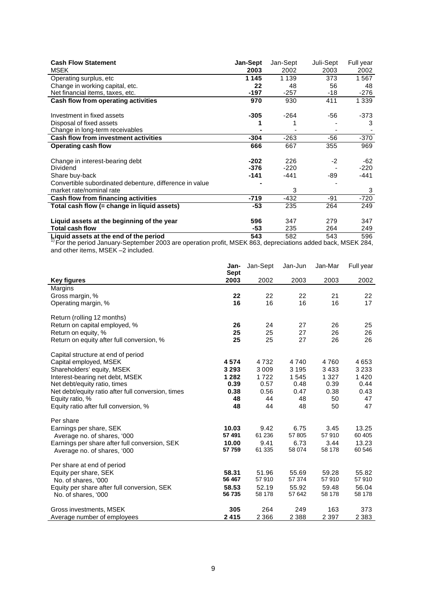| <b>Cash Flow Statement</b>                              | <b>Jan-Sept</b> | Jan-Sept | Juli-Sept | Full year |
|---------------------------------------------------------|-----------------|----------|-----------|-----------|
| <b>MSEK</b>                                             | 2003            | 2002     | 2003      | 2002      |
| Operating surplus, etc                                  | 1 1 4 5         | 1 1 3 9  | 373       | 1567      |
| Change in working capital, etc.                         | 22              | 48       | 56        | 48        |
| Net financial items, taxes, etc.                        | $-197$          | $-257$   | -18       | $-276$    |
| Cash flow from operating activities                     | 970             | 930      | 411       | 1 3 3 9   |
|                                                         |                 |          |           |           |
| Investment in fixed assets                              | $-305$          | $-264$   | $-56$     | $-373$    |
| Disposal of fixed assets                                |                 |          |           | 3         |
| Change in long-term receivables                         |                 |          |           |           |
| <b>Cash flow from investment activities</b>             | $-304$          | $-263$   | $-56$     | $-370$    |
| Operating cash flow                                     | 666             | 667      | 355       | 969       |
|                                                         |                 |          |           |           |
| Change in interest-bearing debt                         | $-202$          | 226      | $-2$      | $-62$     |
| Dividend                                                | $-376$          | $-220$   |           | $-220$    |
| Share buy-back                                          | $-141$          | $-441$   | -89       | -441      |
| Convertible subordinated debenture, difference in value |                 |          |           |           |
| market rate/nominal rate                                |                 | 3        |           | 3         |
| Cash flow from financing activities                     | $-719$          | $-432$   | $-91$     | $-720$    |
| Total cash flow (= change in liquid assets)             | -53             | 235      | 264       | 249       |
|                                                         |                 |          |           |           |
| Liquid assets at the beginning of the year              | 596             | 347      | 279       | 347       |
| <b>Total cash flow</b>                                  | -53             | 235      | 264       | 249       |

**Liquid assets at the end of the period 543** 582 543 596 1) For the period January-September 2003 are operation profit, MSEK 863, depreciations added back, MSEK 284, and other items, MSEK –2 included.

|                                                    | Jan-<br><b>Sept</b> | Jan-Sept | Jan-Jun | Jan-Mar | Full year |
|----------------------------------------------------|---------------------|----------|---------|---------|-----------|
| <b>Key figures</b>                                 | 2003                | 2002     | 2003    | 2003    | 2002      |
| Margins                                            |                     |          |         |         |           |
| Gross margin, %                                    | 22                  | 22       | 22      | 21      | 22        |
| Operating margin, %                                | 16                  | 16       | 16      | 16      | 17        |
| Return (rolling 12 months)                         |                     |          |         |         |           |
| Return on capital employed, %                      | 26                  | 24       | 27      | 26      | 25        |
| Return on equity, %                                | 25                  | 25       | 27      | 26      | 26        |
| Return on equity after full conversion, %          | 25                  | 25       | 27      | 26      | 26        |
| Capital structure at end of period                 |                     |          |         |         |           |
| Capital employed, MSEK                             | 4574                | 4732     | 4740    | 4760    | 4653      |
| Shareholders' equity, MSEK                         | 3 2 9 3             | 3 0 0 9  | 3 1 9 5 | 3433    | 3 2 3 3   |
| Interest-bearing net debt, MSEK                    | 1 2 8 2             | 1722     | 1545    | 1 3 2 7 | 1420      |
| Net debt/equity ratio, times                       | 0.39                | 0.57     | 0.48    | 0.39    | 0.44      |
| Net debt/equity ratio after full conversion, times | 0.38                | 0.56     | 0.47    | 0.38    | 0.43      |
| Equity ratio, %                                    | 48                  | 44       | 48      | 50      | 47        |
| Equity ratio after full conversion, %              | 48                  | 44       | 48      | 50      | 47        |
| Per share                                          |                     |          |         |         |           |
| Earnings per share, SEK                            | 10.03               | 9.42     | 6.75    | 3.45    | 13.25     |
| Average no. of shares, '000                        | 57 491              | 61 236   | 57 805  | 57910   | 60 40 5   |
| Earnings per share after full conversion, SEK      | 10.00               | 9.41     | 6.73    | 3.44    | 13.23     |
| Average no. of shares, '000                        | 57 759              | 61 335   | 58 074  | 58 178  | 60 546    |
| Per share at end of period                         |                     |          |         |         |           |
| Equity per share, SEK                              | 58.31               | 51.96    | 55.69   | 59.28   | 55.82     |
| No. of shares, '000                                | 56 467              | 57910    | 57 374  | 57910   | 57910     |
| Equity per share after full conversion, SEK        | 58.53               | 52.19    | 55.92   | 59.48   | 56.04     |
| No. of shares, '000                                | 56 735              | 58 178   | 57 642  | 58 178  | 58 178    |
| Gross investments, MSEK                            | 305                 | 264      | 249     | 163     | 373       |
| Average number of employees                        | 2415                | 2 3 6 6  | 2 3 8 8 | 2 3 9 7 | 2 3 8 3   |